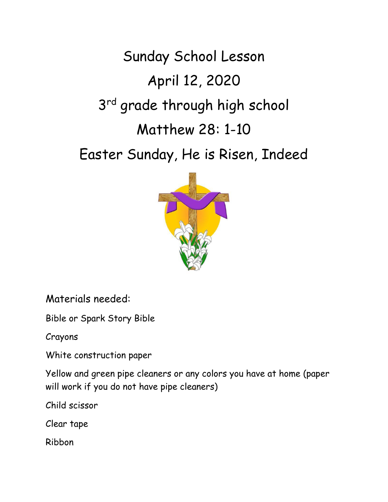Sunday School Lesson April 12, 2020 3<sup>rd</sup> grade through high school Matthew 28: 1-10

Easter Sunday, He is Risen, Indeed



Materials needed:

Bible or Spark Story Bible

Crayons

White construction paper

Yellow and green pipe cleaners or any colors you have at home (paper will work if you do not have pipe cleaners)

Child scissor

Clear tape

Ribbon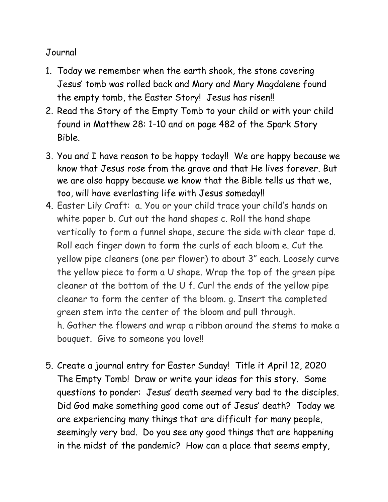## Journal

- 1. Today we remember when the earth shook, the stone covering Jesus' tomb was rolled back and Mary and Mary Magdalene found the empty tomb, the Easter Story! Jesus has risen!!
- 2. Read the Story of the Empty Tomb to your child or with your child found in Matthew 28: 1-10 and on page 482 of the Spark Story Bible.
- 3. You and I have reason to be happy today!! We are happy because we know that Jesus rose from the grave and that He lives forever. But we are also happy because we know that the Bible tells us that we, too, will have everlasting life with Jesus someday!!
- 4. Easter Lily Craft: a. You or your child trace your child's hands on white paper b. Cut out the hand shapes c. Roll the hand shape vertically to form a funnel shape, secure the side with clear tape d. Roll each finger down to form the curls of each bloom e. Cut the yellow pipe cleaners (one per flower) to about 3" each. Loosely curve the yellow piece to form a U shape. Wrap the top of the green pipe cleaner at the bottom of the U f. Curl the ends of the yellow pipe cleaner to form the center of the bloom. g. Insert the completed green stem into the center of the bloom and pull through. h. Gather the flowers and wrap a ribbon around the stems to make a bouquet. Give to someone you love!!
- 5. Create a journal entry for Easter Sunday! Title it April 12, 2020 The Empty Tomb! Draw or write your ideas for this story. Some questions to ponder: Jesus' death seemed very bad to the disciples. Did God make something good come out of Jesus' death? Today we are experiencing many things that are difficult for many people, seemingly very bad. Do you see any good things that are happening in the midst of the pandemic? How can a place that seems empty,